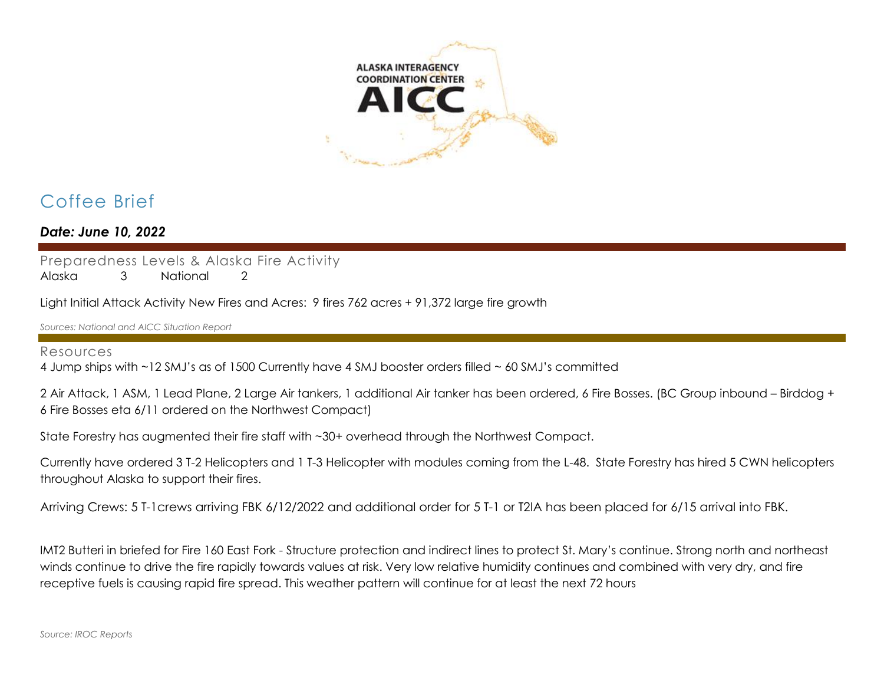

# Coffee Brief

*Date: June 10, 2022*

Preparedness Levels & Alaska Fire Activity

Alaska 3 National 2

Light Initial Attack Activity New Fires and Acres: 9 fires 762 acres + 91,372 large fire growth

*Sources: National and AICC Situation Report*

#### Resources

4 Jump ships with ~12 SMJ's as of 1500 Currently have 4 SMJ booster orders filled ~ 60 SMJ's committed

2 Air Attack, 1 ASM, 1 Lead Plane, 2 Large Air tankers, 1 additional Air tanker has been ordered, 6 Fire Bosses. (BC Group inbound – Birddog + 6 Fire Bosses eta 6/11 ordered on the Northwest Compact)

State Forestry has augmented their fire staff with ~30+ overhead through the Northwest Compact.

Currently have ordered 3 T-2 Helicopters and 1 T-3 Helicopter with modules coming from the L-48. State Forestry has hired 5 CWN helicopters throughout Alaska to support their fires.

Arriving Crews: 5 T-1crews arriving FBK 6/12/2022 and additional order for 5 T-1 or T2IA has been placed for 6/15 arrival into FBK.

IMT2 Butteri in briefed for Fire 160 East Fork - Structure protection and indirect lines to protect St. Mary's continue. Strong north and northeast winds continue to drive the fire rapidly towards values at risk. Very low relative humidity continues and combined with very dry, and fire receptive fuels is causing rapid fire spread. This weather pattern will continue for at least the next 72 hours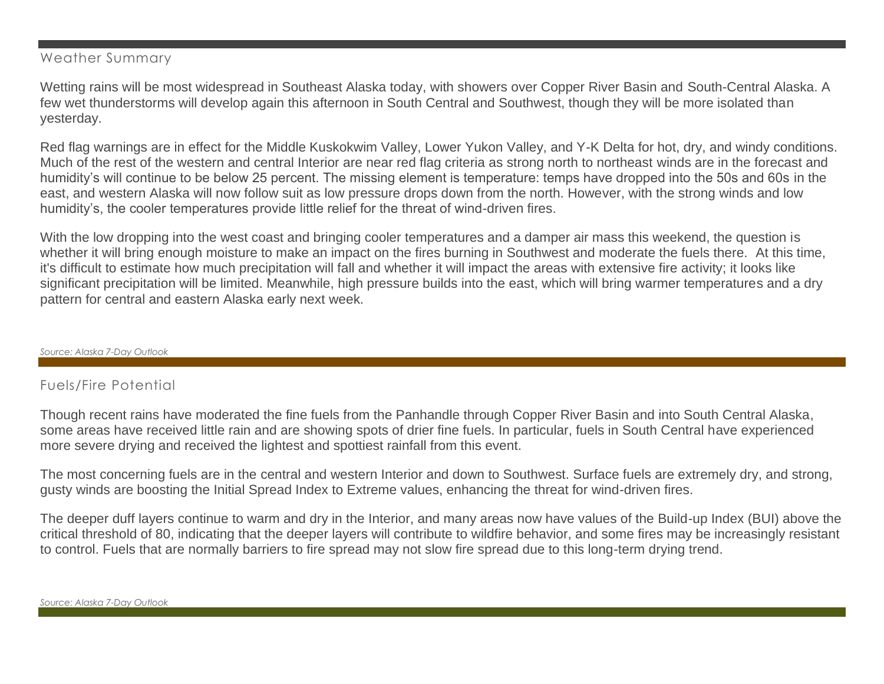#### Weather Summary

Wetting rains will be most widespread in Southeast Alaska today, with showers over Copper River Basin and South-Central Alaska. A few wet thunderstorms will develop again this afternoon in South Central and Southwest, though they will be more isolated than yesterday.

Red flag warnings are in effect for the Middle Kuskokwim Valley, Lower Yukon Valley, and Y-K Delta for hot, dry, and windy conditions. Much of the rest of the western and central Interior are near red flag criteria as strong north to northeast winds are in the forecast and humidity's will continue to be below 25 percent. The missing element is temperature: temps have dropped into the 50s and 60s in the east, and western Alaska will now follow suit as low pressure drops down from the north. However, with the strong winds and low humidity's, the cooler temperatures provide little relief for the threat of wind-driven fires.

With the low dropping into the west coast and bringing cooler temperatures and a damper air mass this weekend, the question is whether it will bring enough moisture to make an impact on the fires burning in Southwest and moderate the fuels there. At this time, it's difficult to estimate how much precipitation will fall and whether it will impact the areas with extensive fire activity; it looks like significant precipitation will be limited. Meanwhile, high pressure builds into the east, which will bring warmer temperatures and a dry pattern for central and eastern Alaska early next week.

#### *Source: Alaska 7-Day Outlook*

#### Fuels/Fire Potential

Though recent rains have moderated the fine fuels from the Panhandle through Copper River Basin and into South Central Alaska, some areas have received little rain and are showing spots of drier fine fuels. In particular, fuels in South Central have experienced more severe drying and received the lightest and spottiest rainfall from this event.

The most concerning fuels are in the central and western Interior and down to Southwest. Surface fuels are extremely dry, and strong, gusty winds are boosting the Initial Spread Index to Extreme values, enhancing the threat for wind-driven fires.

The deeper duff layers continue to warm and dry in the Interior, and many areas now have values of the Build-up Index (BUI) above the critical threshold of 80, indicating that the deeper layers will contribute to wildfire behavior, and some fires may be increasingly resistant to control. Fuels that are normally barriers to fire spread may not slow fire spread due to this long-term drying trend.